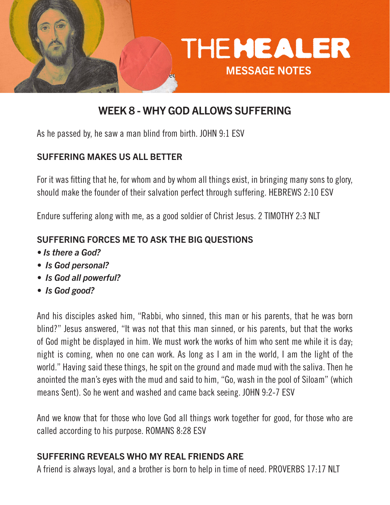

# WEEK 8 - WHY GOD ALLOWS SUFFERING

As he passed by, he saw a man blind from birth. JOHN 9:1 ESV

### SUFFERING MAKES US ALL BETTER

For it was fitting that he, for whom and by whom all things exist, in bringing many sons to glory, should make the founder of their salvation perfect through suffering. HEBREWS 2:10 ESV

Endure suffering along with me, as a good soldier of Christ Jesus. 2 TIMOTHY 2:3 NLT

### SUFFERING FORCES ME TO ASK THE BIG QUESTIONS

- *Is there a God?*
- *Is God personal?*
- *Is God all powerful?*
- *Is God good?*

And his disciples asked him, "Rabbi, who sinned, this man or his parents, that he was born blind?" Jesus answered, "It was not that this man sinned, or his parents, but that the works of God might be displayed in him. We must work the works of him who sent me while it is day; night is coming, when no one can work. As long as I am in the world, I am the light of the world." Having said these things, he spit on the ground and made mud with the saliva. Then he anointed the man's eyes with the mud and said to him, "Go, wash in the pool of Siloam" (which means Sent). So he went and washed and came back seeing. JOHN 9:2-7 ESV

And we know that for those who love God all things work together for good, for those who are called according to his purpose. ROMANS 8:28 ESV

## SUFFERING REVEALS WHO MY REAL FRIENDS ARE

A friend is always loyal, and a brother is born to help in time of need. PROVERBS 17:17 NLT